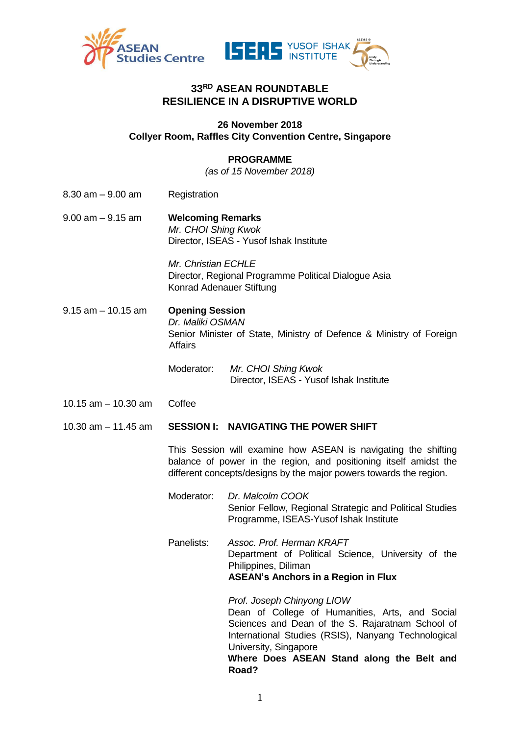

# **33RD ASEAN ROUNDTABLE RESILIENCE IN A DISRUPTIVE WORLD**

## **26 November 2018 Collyer Room, Raffles City Convention Centre, Singapore**

## **PROGRAMME**

*(as of 15 November 2018)*

- 8.30 am 9.00 am Registration
- 9.00 am 9.15 am **Welcoming Remarks** *Mr. CHOI Shing Kwok* Director, ISEAS - Yusof Ishak Institute

*Mr. Christian ECHLE* Director, Regional Programme Political Dialogue Asia Konrad Adenauer Stiftung

- 9.15 am 10.15 am **Opening Session** *Dr. Maliki OSMAN* Senior Minister of State, Ministry of Defence & Ministry of Foreign Affairs
	- Moderator: *Mr. CHOI Shing Kwok* Director, ISEAS - Yusof Ishak Institute
- 10.15 am 10.30 am Coffee
- 10.30 am 11.45 am **SESSION I: NAVIGATING THE POWER SHIFT**

This Session will examine how ASEAN is navigating the shifting balance of power in the region, and positioning itself amidst the different concepts/designs by the major powers towards the region.

- Moderator: *Dr. Malcolm COOK* Senior Fellow, Regional Strategic and Political Studies Programme, ISEAS-Yusof Ishak Institute
- Panelists: *Assoc. Prof. Herman KRAFT* Department of Political Science, University of the Philippines, Diliman **ASEAN's Anchors in a Region in Flux**

*Prof. Joseph Chinyong LIOW* Dean of College of Humanities, Arts, and Social Sciences and Dean of the S. Rajaratnam School of International Studies (RSIS), Nanyang Technological University, Singapore

**Where Does ASEAN Stand along the Belt and Road?**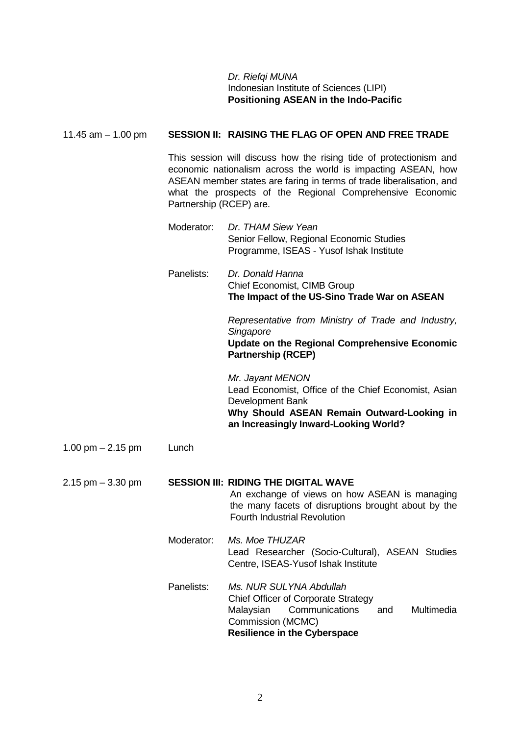## *Dr. Riefqi MUNA* Indonesian Institute of Sciences (LIPI) **Positioning ASEAN in the Indo-Pacific**

| 11.45 $am - 1.00$ pm |                         | SESSION II: RAISING THE FLAG OF OPEN AND FREE TRADE                                                                                                                                                                                                                      |
|----------------------|-------------------------|--------------------------------------------------------------------------------------------------------------------------------------------------------------------------------------------------------------------------------------------------------------------------|
|                      | Partnership (RCEP) are. | This session will discuss how the rising tide of protectionism and<br>economic nationalism across the world is impacting ASEAN, how<br>ASEAN member states are faring in terms of trade liberalisation, and<br>what the prospects of the Regional Comprehensive Economic |
|                      | Moderator:              | Dr. THAM Siew Yean<br>Senior Fellow, Regional Economic Studies<br>Programme, ISEAS - Yusof Ishak Institute                                                                                                                                                               |
|                      | Panelists:              | Dr. Donald Hanna<br>Chief Economist, CIMB Group<br>The Impact of the US-Sino Trade War on ASEAN                                                                                                                                                                          |
|                      |                         | Representative from Ministry of Trade and Industry,<br>Singapore<br><b>Update on the Regional Comprehensive Economic</b><br><b>Partnership (RCEP)</b>                                                                                                                    |
|                      |                         | Mr. Jayant MENON<br>Lead Economist, Office of the Chief Economist, Asian<br>Development Bank<br>Why Should ASEAN Remain Outward-Looking in<br>an Increasingly Inward-Looking World?                                                                                      |
| 1.00 pm $- 2.15$ pm  | Lunch                   |                                                                                                                                                                                                                                                                          |
| $2.15$ pm $-3.30$ pm |                         | <b>SESSION III: RIDING THE DIGITAL WAVE</b><br>An exchange of views on how ASEAN is managing<br>the many facets of disruptions brought about by the<br><b>Fourth Industrial Revolution</b>                                                                               |
|                      | Moderator:              | Ms. Moe THUZAR<br>Lead Researcher (Socio-Cultural), ASEAN Studies<br>Centre, ISEAS-Yusof Ishak Institute                                                                                                                                                                 |
|                      | Panelists:              | Ms. NUR SULYNA Abdullah<br><b>Chief Officer of Corporate Strategy</b><br>Communications<br>Malaysian<br>Multimedia<br>and<br>Commission (MCMC)<br><b>Resilience in the Cyberspace</b>                                                                                    |